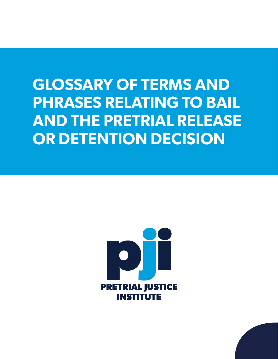# **GLOSSARY OF TERMS AND PHRASES RELATING TO BAIL AND THE PRETRIAL RELEASE OR DETENTION DECISION**



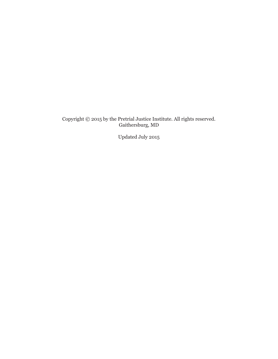Copyright © 2015 by the Pretrial Justice Institute. All rights reserved. Gaithersburg, MD

Updated July 2015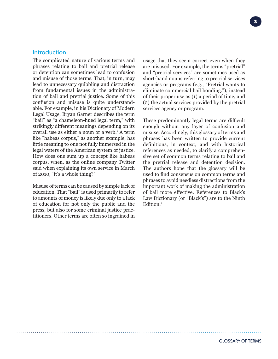# **Introduction**

The complicated nature of various terms and phrases relating to bail and pretrial release or detention can sometimes lead to confusion and misuse of those terms. That, in turn, may lead to unnecessary quibbling and distraction from fundamental issues in the administration of bail and pretrial justice. Some of this confusion and misuse is quite understandable. For example, in his Dictionary of Modern Legal Usage, Bryan Garner describes the term "bail" as "a chameleon-hued legal term," with strikingly different meanings depending on its overall use as either a noun or a verb.1 A term like "habeas corpus," as another example, has little meaning to one not fully immersed in the legal waters of the American system of justice. How does one sum up a concept like habeas corpus, when, as the online company Twitter said when explaining its own service in March of 2010, "it's a whole thing?"

Misuse of terms can be caused by simple lack of education. That "bail" is used primarily to refer to amounts of money is likely due only to a lack of education for not only the public and the press, but also for some criminal justice practitioners. Other terms are often so ingrained in

usage that they seem correct even when they are misused. For example, the terms "pretrial" and "pretrial services" are sometimes used as short-hand nouns referring to pretrial services agencies or programs (e.g., "Pretrial wants to eliminate commercial bail bonding."), instead of their proper use as (1) a period of time, and (2) the actual services provided by the pretrial services agency or program.

These predominantly legal terms are difficult enough without any layer of confusion and misuse. Accordingly, this glossary of terms and phrases has been written to provide current definitions, in context, and with historical references as needed, to clarify a comprehensive set of common terms relating to bail and the pretrial release and detention decision. The authors hope that the glossary will be used to find consensus on common terms and phrases to avoid needless distractions from the important work of making the administration of bail more effective. References to Black's Law Dictionary (or "Black's") are to the Ninth Edition.<sup>2</sup>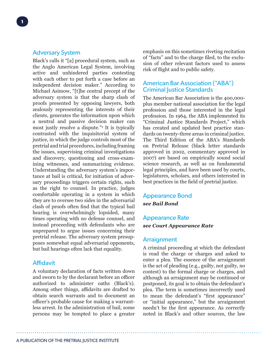# Adversary System

Black's calls it "[a] procedural system, such as the Anglo American Legal System, involving active and unhindered parties contesting with each other to put forth a case before an independent decision maker." According to Michael Asimow, "[t]he central precept of the adversary system is that the sharp clash of proofs presented by opposing lawyers, both zealously representing the interests of their clients, generates the information upon which a neutral and passive decision maker can most justly resolve a dispute."3 It is typically contrasted with the inquisitorial system of justice, in which the judge controls most of the pretrial and trial procedures, including framing the issues, supervising criminal investigations and discovery, questioning and cross-examining witnesses, and summarizing evidence. Understanding the adversary system's importance at bail is critical, for initiation of adversary proceedings triggers certain rights, such as the right to counsel. In practice, judges comfortable operating in a system in which they are to oversee two sides in the adversarial clash of proofs often find that the typical bail hearing is overwhelmingly lopsided, many times operating with no defense counsel, and instead proceeding with defendants who are unprepared to argue issues concerning their pretrial release. The adversary system presupposes somewhat equal adversarial opponents, but bail hearings often lack that equality.

# Affidavit

A voluntary declaration of facts written down and sworn to by the declarant before an officer authorized to administer oaths (Black's). Among other things, affidavits are drafted to obtain search warrants and to document an officer's probable cause for making a warrantless arrest. In the administration of bail, some persons may be tempted to place a greater emphasis on this sometimes riveting recitation of "facts" and to the charge filed, to the exclusion of other relevant factors used to assess risk of flight and to public safety.

# American Bar Association ("ABA") **Criminal Iustice Standards**

The American Bar Association is the 400,000 plus member national association for the legal profession and those interested in the legal profession. In 1964, the ABA implemented its "Criminal Justice Standards Project," which has created and updated best practice standards on twenty-three areas in criminal justice. The Third Edition of the ABA's Standards on Pretrial Release (black letter standards approved in 2002, commentary approved in 2007) are based on empirically sound social science research, as well as on fundamental legal principles, and have been used by courts, legislatures, scholars, and others interested in best practices in the field of pretrial justice.

# Appearance Bond *see Bail Bond*

# Appearance Rate *see Court Appearance Rate*

# **Arraignment**

A criminal proceeding at which the defendant is read the charge or charges and asked to enter a plea. The essence of the arraignment is the act of pleading (e.g., guilty, not guilty, no contest) to the formal charge or charges, and although an arraignment may be continued or postponed, its goal is to obtain the defendant's plea. The term is sometimes incorrectly used to mean the defendant's "first appearance" or "initial appearance," but the arraignment needn't be the first appearance. As correctly noted in Black's and other sources, the law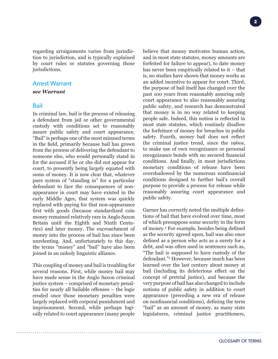regarding arraignments varies from jurisdiction to jurisdiction, and is typically explained by court rules or statutes governing those jurisdictions.

## Arrest Warrant

#### *see Warrant*

#### Bail

In criminal law, bail is the process of releasing a defendant from jail or other governmental custody with conditions set to reasonably assure public safety and court appearance. "Bail" is perhaps one of the most misused terms in the field, primarily because bail has grown from the process of delivering the defendant to someone else, who would personally stand in for the accused if he or she did not appear for court, to presently being largely equated with sums of money. It is now clear that, whatever pure system of "standing in" for a particular defendant to face the consequences of nonappearance in court may have existed in the early Middle Ages, that system was quickly replaced with paying for that non-appearance first with goods (because standardized coin money remained relatively rare in Anglo Saxon Britain until the Eighth and Ninth Centuries) and later money. The encroachment of money into the process of bail has since been unrelenting. And, unfortunately to this day, the terms "money" and "bail" have also been joined in an unholy linguistic alliance.

This coupling of money and bail is troubling for several reasons. First, while money bail may have made sense in the Anglo Saxon criminal justice system – comprised of monetary penalties for nearly all bailable offenses – the logic eroded once those monetary penalties were largely replaced with corporal punishment and imprisonment. Second, while perhaps logically related to court appearance (many people believe that money motivates human action, and in most state statutes, money amounts are forfeited for failure to appear), to date money has never been empirically related to it – that is, no studies have shown that money works as an added incentive to appear for court. Third, the purpose of bail itself has changed over the past 100 years from reasonably assuring only court appearance to also reasonably assuring public safety, and research has demonstrated that money is in no way related to keeping people safe. Indeed, this notion is reflected in most state statutes, which routinely disallow the forfeiture of money for breaches in public safety. Fourth, money bail does not reflect the criminal justice trend, since the 1960s, to make use of own recognizance or personal recognizance bonds with no secured financial conditions. And finally, in most jurisdictions monetary conditions of release have been overshadowed by the numerous nonfinancial conditions designed to further bail's overall purpose to provide a process for release while reasonably assuring court appearance and public safety.

Garner has correctly noted the multiple definitions of bail that have evolved over time, most of which presuppose some security in the form of money.4 For example, besides being defined as the security agreed upon, bail was also once defined as a person who acts as a surety for a debt, and was often used in sentences such as, "The bail is supposed to have custody of the defendant."5 However, because much has been learned over the last century about money at bail (including its deleterious effect on the concept of pretrial justice), and because the very purpose of bail has also changed to include notions of public safety in addition to court appearance (preceding a new era of release on nonfinancial conditions), defining the term "bail" as an amount of money, as many state legislatures, criminal justice practitioners,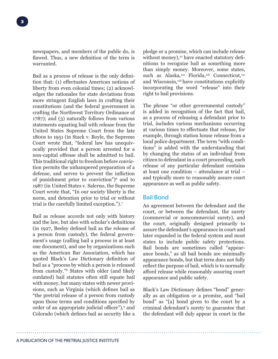newspapers, and members of the public do, is flawed. Thus, a new definition of the term is warranted.

Bail as a process of release is the only definition that: (1) effectuates American notions of liberty from even colonial times; (2) acknowledges the rationales for state deviations from more stringent English laws in crafting their constitutions (and the federal government in crafting the Northwest Territory Ordinance of 1787); and (3) naturally follows from various statements equating bail with release from the United States Supreme Court from the late 1800s to 1951 (in Stack v. Boyle, the Supreme Court wrote that, "federal law has unequivocally provided that a person arrested for a non-capital offense shall be admitted to bail. This traditional right to freedom before conviction permits the unhampered preparation of a defense, and serves to prevent the infliction of punishment prior to conviction")6 and to 1987 (in United States v. Salerno, the Supreme Court wrote that, "In our society liberty is the norm, and detention prior to trial or without trial is the carefully limited exception.").7

Bail as release accords not only with history and the law, but also with scholar's definitions (in 1927, Beeley defined bail as the release of a person from custody), the federal government's usage (calling bail a process in at least one document), and use by organizations such as the American Bar Association, which has quoted Black's Law Dictionary definition of bail as a "process by which a person is released from custody."8 States with older (and likely outdated) bail statutes often still equate bail with money, but many states with newer provisions, such as Virginia (which defines bail as "the pretrial release of a person from custody upon those terms and conditions specified by order of an appropriate judicial officer"),<sup>9</sup> and Colorado (which defines bail as security like a

pledge or a promise, which can include release without money),<sup>10</sup> have enacted statutory definitions to recognize bail as something more than simply money. Moreover, some states, such as Alaska,<sup>11a</sup> Florida,<sup>11b</sup> Connecticut,<sup>11c</sup> and Wisconsin,<sup>11d</sup> have constitutions explicitly incorporating the word "release" into their right to bail provisions.

The phrase "or other governmental custody" is added in recognition of the fact that bail, as a process of releasing a defendant prior to trial, includes various mechanisms occurring at various times to effectuate that release, for example, through station house release from a local police department. The term "with conditions" is added with the understanding that by changing the status of an individual from citizen to defendant in a court proceeding, each release of any particular defendant contains at least one condition – attendance at trial – and typically more to reasonably assure court appearance as well as public safety.

# Bail Bond

An agreement between the defendant and the court, or between the defendant, the surety (commercial or noncommercial surety), and the court, originally designed primarily to assure the defendant's appearance in court and later expanded in the federal system and most states to include public safety protections. Bail bonds are sometimes called "appearance bonds," as all bail bonds are minimally appearance bonds, but that term does not fully reflect the purpose of bail, which is to normally afford release while reasonably assuring court appearance and public safety.

Black's Law Dictionary defines "bond" generally as an obligation or a promise, and "bail bond" as "[a] bond given to the court by a criminal defendant's surety to guarantee that the defendant will duly appear in court in the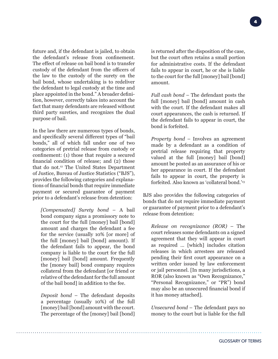**4**

future and, if the defendant is jailed, to obtain the defendant's release from confinement. The effect of release on bail bond is to transfer custody of the defendant from the officers of the law to the custody of the surety on the bail bond, whose undertaking is to redeliver the defendant to legal custody at the time and place appointed in the bond." A broader definition, however, correctly takes into account the fact that many defendants are released without third party sureties, and recognizes the dual purpose of bail.

In the law there are numerous types of bonds, and specifically several different types of "bail bonds," all of which fall under one of two categories of pretrial release from custody or confinement: (1) those that require a secured financial condition of release; and (2) those that do not.<sup>12</sup> The United States Department of Justice, Bureau of Justice Statistics ("BJS"), provides the following categories and explanations of financial bonds that require immediate payment or secured guarantee of payment prior to a defendant's release from detention:

*[Compensated] Surety bond* – A bail bond company signs a promissory note to the court for the full [money] bail [bond] amount and charges the defendant a fee for the service (usually 10% [or more] of the full [money] bail [bond] amount). If the defendant fails to appear, the bond company is liable to the court for the full [money] bail [bond] amount. Frequently the [money bail] bond company requires collateral from the defendant [or friend or relative of the defendant for the full amount of the bail bond] in addition to the fee.

*Deposit bond* – The defendant deposits a percentage (usually 10%) of the full [money] bail [bond] amount with the court. The percentage of the [money] bail [bond] is returned after the disposition of the case, but the court often retains a small portion for administrative costs. If the defendant fails to appear in court, he or she is liable to the court for the full [money] bail [bond] amount.

*Full cash bond* – The defendant posts the full [money] bail [bond] amount in cash with the court. If the defendant makes all court appearances, the cash is returned. If the defendant fails to appear in court, the bond is forfeited.

*Property bond* – Involves an agreement made by a defendant as a condition of pretrial release requiring that property valued at the full [money] bail [bond] amount be posted as an assurance of his or her appearance in court. If the defendant fails to appear in court, the property is forfeited. Also known as 'collateral bond.'13

BJS also provides the following categories of bonds that do not require immediate payment or guarantee of payment prior to a defendant's release from detention:

*Release on recognizance (ROR)* – The court releases some defendants on a signed agreement that they will appear in court as required … [which] includes citation releases in which arrestees are released pending their first court appearance on a written order issued by law enforcement or jail personnel. [In many jurisdictions, a ROR (also known as "Own Recognizance," "Personal Recognizance," or "PR") bond may also be an unsecured financial bond if it has money attached].

*Unsecured bond* – The defendant pays no money to the court but is liable for the full

GLOSSARY OF TERMS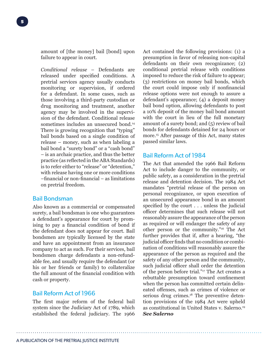amount of [the money] bail [bond] upon failure to appear in court.

*Conditional release* – Defendants are released under specified conditions. A pretrial services agency usually conducts monitoring or supervision, if ordered for a defendant. In some cases, such as those involving a third-party custodian or drug monitoring and treatment, another agency may be involved in the supervision of the defendant. Conditional release sometimes includes an unsecured bond.<sup>14</sup> There is growing recognition that "typing" bail bonds based on a single condition of release – money, such as when labeling a bail bond a "surety bond" or a "cash bond" – is an archaic practice, and thus the better practice (as reflected in the ABA Standards) is to refer either to "release" or "detention," with release having one or more conditions –financial or non-financial – as limitations on pretrial freedom.

# Bail Bondsman

Also known as a commercial or compensated surety, a bail bondsman is one who guarantees a defendant's appearance for court by promising to pay a financial condition of bond if the defendant does not appear for court. Bail bondsmen are typically licensed by the state and have an appointment from an insurance company to act as such. For their services, bail bondsmen charge defendants a non-refundable fee, and usually require the defendant (or his or her friends or family) to collateralize the full amount of the financial condition with cash or property.

#### Bail Reform Act of 1966

The first major reform of the federal bail system since the Judiciary Act of 1789, which established the federal judiciary. The 1966 Act contained the following provisions: (1) a presumption in favor of releasing non-capital defendants on their own recognizance; (2) conditional pretrial release with conditions imposed to reduce the risk of failure to appear; (3) restrictions on money bail bonds, which the court could impose only if nonfinancial release options were not enough to assure a defendant's appearance; (4) a deposit money bail bond option, allowing defendants to post a 10% deposit of the money bail bond amount with the court in lieu of the full monetary amount of a surety bond; and (5) review of bail bonds for defendants detained for 24 hours or more.15 After passage of this Act, many states passed similar laws.

## Bail Reform Act of 1984

The Act that amended the 1966 Bail Reform Act to include danger to the community, or public safety, as a consideration in the pretrial release and detention decision. The 1984 Act mandates "pretrial release of the person on personal recognizance, or upon execution of an unsecured appearance bond in an amount specified by the court . . . unless the judicial officer determines that such release will not reasonably assure the appearance of the person as required or will endanger the safety of any other person or the community."16 The Act further provides that if, after a hearing, "the judicial officer finds that no condition or combination of conditions will reasonably assure the appearance of the person as required and the safety of any other person and the community, such judicial officer shall order the detention of the person before trial."17 The Act creates a rebuttable presumption toward confinement when the person has committed certain delineated offenses, such as crimes of violence or serious drug crimes.<sup>18</sup> The preventive detention provisions of the 1984 Act were upheld as constitutional in United States v. Salerno.19 *See Salerno*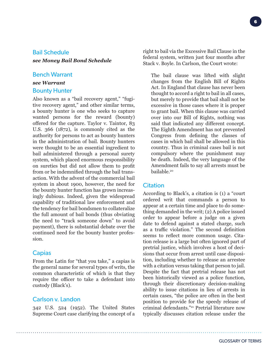# Bail Schedule

*see Money Bail Bond Schedule*

#### Bench Warrant

# *see Warrant* Bounty Hunter

Also known as a "bail recovery agent," "fugitive recovery agent," and other similar terms, a bounty hunter is one who seeks to capture wanted persons for the reward (bounty) offered for the capture. Taylor v. Taintor, 83 U.S. 366 (1872), is commonly cited as the authority for persons to act as bounty hunters in the administration of bail. Bounty hunters were thought to be an essential ingredient to bail administered through a personal surety system, which placed enormous responsibility on sureties but did not allow them to profit from or be indemnified through the bail transaction. With the advent of the commercial bail system in about 1900, however, the need for the bounty hunter function has grown increasingly dubious. Indeed, given the widespread capability of traditional law enforcement and the tendency for bail bondsmen to collateralize the full amount of bail bonds (thus obviating the need to "track someone down" to avoid payment), there is substantial debate over the continued need for the bounty hunter profession.

## **Capias**

From the Latin for "that you take," a capias is the general name for several types of writs, the common characteristic of which is that they require the officer to take a defendant into custody (Black's).

## Carlson v. Landon

342 U.S. 524 (1952). The United States Supreme Court case clarifying the concept of a right to bail via the Excessive Bail Clause in the federal system, written just four months after Stack v. Boyle. In Carlson, the Court wrote:

The bail clause was lifted with slight changes from the English Bill of Rights Act. In England that clause has never been thought to accord a right to bail in all cases, but merely to provide that bail shall not be excessive in those cases where it is proper to grant bail. When this clause was carried over into our Bill of Rights, nothing was said that indicated any different concept. The Eighth Amendment has not prevented Congress from defining the classes of cases in which bail shall be allowed in this country. Thus in criminal cases bail is not compulsory where the punishment may be death. Indeed, the very language of the Amendment fails to say all arrests must be bailable.20

#### **Citation**

According to Black's, a citation is (1) a "court ordered writ that commands a person to appear at a certain time and place to do something demanded in the writ; (2) A police issued order to appear before a judge on a given date to defend against a stated charge, such as a traffic violation." The second definition seems to reflect more common usage. Citation release is a large but often ignored part of pretrial justice, which involves a host of decisions that occur from arrest until case disposition, including whether to release an arrestee with a citation versus taking that person to jail. Despite the fact that pretrial release has not been historically viewed as a police function, through their discretionary decision-making ability to issue citations in lieu of arrests in certain cases, "the police are often in the best position to provide for the speedy release of criminal defendants."21 Pretrial literature now typically discusses citation release under the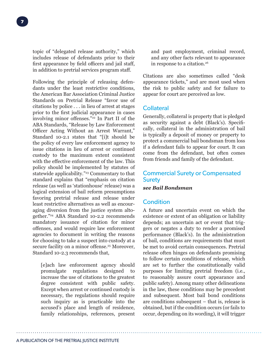topic of "delegated release authority," which includes release of defendants prior to their first appearance by field officers and jail staff, in addition to pretrial services program staff.

Following the principle of releasing defendants under the least restrictive conditions, the American Bar Association Criminal Justice Standards on Pretrial Release "favor use of citations by police . . . in lieu of arrest at stages prior to the first judicial appearance in cases involving minor offenses."<sup>22</sup> In Part II of the ABA Standards, "Release by Law Enforcement Officer Acting Without an Arrest Warrant," Standard 10-2.1 states that "[i]t should be the policy of every law enforcement agency to issue citations in lieu of arrest or continued custody to the maximum extent consistent with the effective enforcement of the law. This policy should be implemented by statutes of statewide applicability."<sup>23</sup> Commentary to that standard explains that "emphasis on citation release (as well as 'stationhouse' release) was a logical extension of bail reform presumptions favoring pretrial release and release under least restrictive alternatives as well as encouraging diversion from the justice system altogether."24 ABA Standard 10-2.2 recommends mandatory issuance of citation for minor offenses, and would require law enforcement agencies to document in writing the reasons for choosing to take a suspect into custody at a secure facility on a minor offense.<sup>25</sup> Moreover, Standard 10-2.3 recommends that,

[e]ach law enforcement agency should promulgate regulations designed to increase the use of citations to the greatest degree consistent with public safety. Except when arrest or continued custody is necessary, the regulations should require such inquiry as is practicable into the accused's place and length of residence, family relationships, references, present

and past employment, criminal record, and any other facts relevant to appearance in response to a citation.26

Citations are also sometimes called "desk appearance tickets," and are most used when the risk to public safety and for failure to appear for court are perceived as low.

# **Collateral**

Generally, collateral is property that is pledged as security against a debt (Black's). Specifically, collateral in the administration of bail is typically a deposit of money or property to protect a commercial bail bondsman from loss if a defendant fails to appear for court. It can come from the defendant, but often comes from friends and family of the defendant.

# Commercial Surety or Compensated **Surety**

#### *see Bail Bondsman*

# **Condition**

A future and uncertain event on which the existence or extent of an obligation or liability depends; an uncertain act or event that triggers or negates a duty to render a promised performance (Black's). In the administration of bail, conditions are requirements that must be met to avoid certain consequences. Pretrial release often hinges on defendants promising to follow certain conditions of release, which are set to further the constitutionally valid purposes for limiting pretrial freedom (i.e., to reasonably assure court appearance and public safety). Among many other delineations in the law, these conditions may be precedent and subsequent. Most bail bond conditions are conditions subsequent – that is, release is obtained, but if the condition occurs (or fails to occur, depending on its wording), it will trigger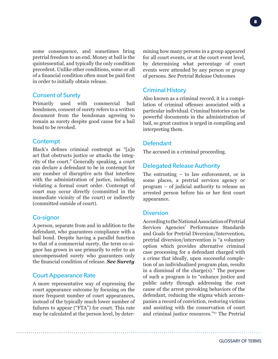some consequence, and sometimes bring pretrial freedom to an end. Money at bail is the quintessential, and typically the only condition precedent. Unlike other conditions, some or all of a financial condition often must be paid first in order to initially obtain release.

# Consent of Surety

Primarily used with commercial bail bondsmen, consent of surety refers to a written document from the bondsman agreeing to remain as surety despite good cause for a bail bond to be revoked.

# **Contempt**

Black's defines criminal contempt as "[a]n act that obstructs justice or attacks the integrity of the court." Generally speaking, a court can declare a defendant to be in contempt for any number of disruptive acts that interfere with the administration of justice, including violating a formal court order. Contempt of court may occur directly (committed in the immediate vicinity of the court) or indirectly (committed outside of court).

# Co-signor

A person, separate from and in addition to the defendant, who guarantees compliance with a bail bond. Despite having a parallel function to that of a commercial surety, the term co-signor has grown in use primarily to refer to an uncompensated surety who guarantees only the financial condition of release. *See Surety*

# Court Appearance Rate

A more representative way of expressing the court appearance outcome by focusing on the more frequent number of court appearances, instead of the typically much lower number of failures to appear ("FTA") for court. This rate may be calculated at the person level, by determining how many persons in a group appeared for all court events, or at the court event level, by determining what percentage of court events were attended by any person or group of persons. See Pretrial Release Outcomes

# Criminal History

Also known as a criminal record, it is a compilation of criminal offenses associated with a particular individual. Criminal histories can be powerful documents in the administration of bail, so great caution is urged in compiling and interpreting them.

# Defendant

The accused in a criminal proceeding.

# Delegated Release Authority

The entrusting – to law enforcement, or in some places, a pretrial services agency or program – of judicial authority to release an arrested person before his or her first court appearance.

# **Diversion**

According to the National Association of Pretrial Services Agencies' Performance Standards and Goals for Pretrial Diversion/Intervention, pretrial diversion/intervention is "a voluntary option which provides alternative criminal case processing for a defendant charged with a crime that ideally, upon successful completion of an individualized program plan, results in a dismissal of the charge(s)." The purpose of such a program is to "enhance justice and public safety through addressing the root cause of the arrest provoking behaviors of the defendant, reducing the stigma which accompanies a record of conviction, restoring victims and assisting with the conservation of court and criminal justice resources."27 The Pretrial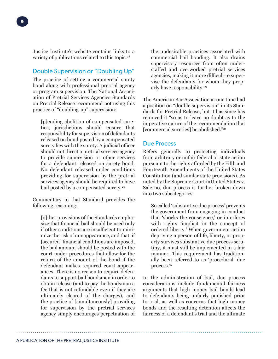# Double Supervision or "Doubling Up"

The practice of setting a commercial surety bond along with professional pretrial agency or program supervision. The National Association of Pretrial Services Agencies Standards on Pretrial Release recommend not using this practice of "doubling-up" supervision:

[p]ending abolition of compensated sureties, jurisdictions should ensure that responsibility for supervision of defendants released on bond posted by a compensated surety lies with the surety. A judicial officer should not direct a pretrial services agency to provide supervision or other services for a defendant released on surety bond. No defendant released under conditions providing for supervision by the pretrial services agency should be required to have bail posted by a compensated surety.<sup>29</sup>

Commentary to that Standard provides the following reasoning:

[o]ther provisions of the Standards emphasize that financial bail should be used only if other conditions are insufficient to minimize the risk of nonappearance, and that, if [secured] financial conditions are imposed, the bail amount should be posted with the court under procedures that allow for the return of the amount of the bond if the defendant makes required court appearances. There is no reason to require defendants to support bail bondsmen in order to obtain release (and to pay the bondsman a fee that is not refundable even if they are ultimately cleared of the charges), and the practice of [simultaneously] providing for supervision by the pretrial services agency simply encourages perpetuation of the undesirable practices associated with commercial bail bonding. It also drains supervisory resources from often understaffed and overworked pretrial services agencies, making it more difficult to supervise the defendants for whom they properly have responsibility.30

The American Bar Association at one time had a position on "double supervision" in its Standards for Pretrial Release, but it has since has removed it "so as to leave no doubt as to the imperative nature of the recommendation that [commercial sureties] be abolished."31

# Due Process

Refers generally to protecting individuals from arbitrary or unfair federal or state action pursuant to the rights afforded by the Fifth and Fourteenth Amendments of the United States Constitution (and similar state provisions). As noted by the Supreme Court inUnited States v. Salerno, due process is further broken down into two subcategories:

So called 'substantive due process' prevents the government from engaging in conduct that 'shocks the conscience,' or interferes with rights 'implicit in the concept of ordered liberty.' When government action depriving a person of life, liberty, or property survives substantive due process scrutiny, it must still be implemented in a fair manner. This requirement has traditionally been referred to as 'procedural' due process.32

In the administration of bail, due process considerations include fundamental fairness arguments that high money bail bonds lead to defendants being unfairly punished prior to trial, as well as concerns that high money bonds and the resulting detention affects the fairness of a defendant's trial and the ultimate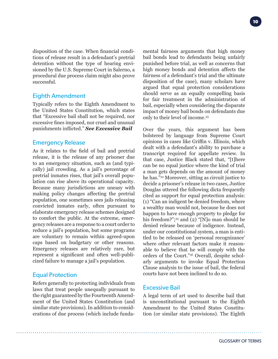disposition of the case. When financial conditions of release result in a defendant's pretrial detention without the type of hearing envisioned by the U.S. Supreme Court in Salerno, a procedural due process claim might also prove successful.

# Eighth Amendment

Typically refers to the Eighth Amendment to the United States Constitution, which states that "Excessive bail shall not be required, nor excessive fines imposed, nor cruel and unusual punishments inflicted." *See Excessive Bail*

# Emergency Release

As it relates to the field of bail and pretrial release, it is the release of any prisoner due to an emergency situation, such as (and typically) jail crowding. As a jail's percentage of pretrial inmates rises, that jail's overall population can rise above its operational capacity. Because many jurisdictions are uneasy with making policy changes affecting the pretrial population, one sometimes sees jails releasing convicted inmates early, often pursuant to elaborate emergency release schemes designed to comfort the public. At the extreme, emergency releases are a response to a court order to reduce a jail's population, but some programs are voluntary to remain within agreed-upon caps based on budgetary or other reasons. Emergency releases are relatively rare, but represent a significant and often well-publicized failure to manage a jail's population.

# Equal Protection

Refers generally to protecting individuals from laws that treat people unequally pursuant to the right guaranteed by the Fourteenth Amendment of the United States Constitution (and similar state provisions). In addition to considerations of due process (which include fundamental fairness arguments that high money bail bonds lead to defendants being unfairly punished before trial, as well as concerns that high money bonds and detention affects the fairness of a defendant's trial and the ultimate disposition of the case), many scholars have argued that equal protection considerations should serve as an equally compelling basis for fair treatment in the administration of bail, especially when considering the disparate impact of money bail bonds on defendants due only to their level of income.33

Over the years, this argument has been bolstered by language from Supreme Court opinions in cases like Griffin v. Illinois, which dealt with a defendant's ability to purchase a transcript required for appellate review. In that case, Justice Black stated that, "[t]here can be no equal justice where the kind of trial a man gets depends on the amount of money he has."34 Moreover, sitting as circuit justice to decide a prisoner's release in two cases, Justice Douglas uttered the following dicta frequently cited as support for equal protection analysis: (1) "Can an indigent be denied freedom, where a wealthy man would not, because he does not happen to have enough property to pledge for his freedom?";<sup>35</sup> and (2) "[N]o man should be denied release because of indigence. Instead, under our constitutional system, a man is entitled to be released on 'personal recognizance' where other relevant factors make it reasonable to believe that he will comply with the orders of the Court."36 Overall, despite scholarly arguments to invoke Equal Protection Clause analysis to the issue of bail, the federal courts have not been inclined to do so.

# Excessive Bail

A legal term of art used to describe bail that is unconstitutional pursuant to the Eighth Amendment to the United States Constitution (or similar state provisions). The Eighth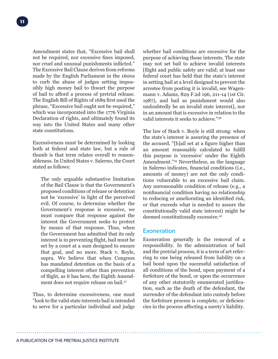Amendment states that, "Excessive bail shall not be required, nor excessive fines imposed, nor cruel and unusual punishments inflicted." The Excessive Bail Clause derives from reforms made by the English Parliament in the 1600s to curb the abuse of judges setting impossibly high money bail to thwart the purpose of bail to afford a process of pretrial release. The English Bill of Rights of 1689 first used the phrase, "Excessive bail ought not be required," which was incorporated into the 1776 Virginia Declaration of rights, and ultimately found its way into the United States and many other state constitutions.

Excessiveness must be determined by looking both at federal and state law, but a rule of thumb is that term relates overall to reasonableness. In United States v. Salerno, the Court stated as follows:

The only arguable substantive limitation of the Bail Clause is that the Government's proposed conditions of release or detention not be 'excessive' in light of the perceived evil. Of course, to determine whether the Government's response is excessive, we must compare that response against the interest the Government seeks to protect by means of that response. Thus, when the Government has admitted that its only interest is in preventing flight, bail must be set by a court at a sum designed to ensure that goal, and no more. Stack v. Boyle, supra. We believe that when Congress has mandated detention on the basis of a compelling interest other than prevention of flight, as it has here, the Eighth Amendment does not require release on bail.37

Thus, to determine excessiveness, one must "look to the valid state interests bail is intended to serve for a particular individual and judge whether bail conditions are excessive for the purpose of achieving those interests. The state may not set bail to achieve invalid interests [flight and public safety are valid; at least one federal court has held that the state's interest in setting bail at a level designed to prevent the arrestee from posting it is invalid, see Wagenmann v. Adams, 829 F.2d 196, 211-14 (1st Cir. 1987), and bail as punishment would also undoubtedly be an invalid state interest], nor in an amount that is excessive in relation to the valid interests it seeks to achieve."38

The law of Stack v. Boyle is still strong: when the state's interest is assuring the presence of the accused, "[b]ail set at a figure higher than an amount reasonably calculated to fulfill this purpose is 'excessive' under the Eighth Amendment."39 Nevertheless, as the language in Salerno indicates, financial conditions (i.e., amounts of money) are not the only conditions vulnerable to an excessive bail claim. Any unreasonable condition of release (e.g., a nonfinancial condition having no relationship to reducing or ameliorating an identified risk, or that exceeds what is needed to assure the constitutionally valid state interest) might be deemed constitutionally excessive.40

#### **Exoneration**

Exoneration generally is the removal of a responsibility. In the administration of bail and the pretrial process, it is a term of art referring to one being released from liability on a bail bond upon the successful satisfaction of all conditions of the bond, upon payment of a forfeiture of the bond, or upon the occurrence of any other statutorily enumerated justification, such as the death of the defendant, the surrender of the defendant into custody before the forfeiture process is complete, or deficiencies in the process affecting a surety's liability.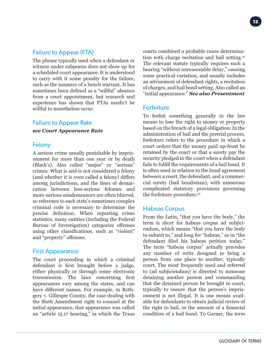**12**

# Failure to Appear (FTA)

The phrase typically used when a defendant or witness under subpoena does not show up for a scheduled court appearance. It is understood to carry with it some penalty for the failure, such as the issuance of a bench warrant. It has sometimes been defined as a "willful" absence from a court appointment, but research and experience has shown that FTAs needn't be willful to nonetheless occur.

# Failure to Appear Rate

## *see Court Appearance Rate*

# Felony

A serious crime usually punishable by imprisonment for more than one year or by death (Black's). Also called "major" or "serious" crimes. What is and is not considered a felony (and whether it is even called a felony) differs among jurisdictions, and the lines of demarcation between less-serious felonies and more-serious misdemeanors are often blurred, so reference to each state's sometimes complex criminal code is necessary to determine the precise definition. When reporting crime statistics, many entities (including the Federal Bureau of Investigation) categorize offenses using other classifications, such as "violent" and "property" offenses.

# First Appearance

The court proceeding in which a criminal defendant is first brought before a judge, either physically or through some electronic transmission. The laws concerning first appearances vary among the states, and can have different names. For example, in Rothgery v. Gillespie County, the case dealing with the Sixth Amendment right to counsel at the initial appearance, that appearance was called an "article 15.17 hearing," in which the Texas courts combined a probable cause determination with charge recitation and bail setting.<sup>41</sup> The relevant statute typically requires such a hearing "without unreasonable delay," causing some practical variation, and usually includes an advisement of defendant rights, a recitation of charges, and bail bond setting. Also called an "initial appearance." *See also Presentment*

# **Forfeiture**

To forfeit something generally in the law means to lose the right to money or property based on the breach of a legal obligation. In the administration of bail and the pretrial process, forfeiture refers to the procedure in which a court orders that the money paid up-front be retained by the court or that a surety pay the security pledged to the court when a defendant fails to fulfill the requirements of a bail bond. It is often used in relation to the bond agreement between a court, the defendant, and a commercial surety (bail bondsman), with numerous complicated statutory provisions governing the forfeiture procedure.42

# Habeas Corpus

From the Latin, "that you have the body," the term is short for habeas corpus ad subjiciendum, which means "that you have the body to submit to," and long for "habeas," as in "the defendant filed his habeas petition today." The term "habeas corpus" actually precedes any number of writs designed to bring a person from one place to another, typically court. The most frequently used and referred to (ad subjiciendum) is directed to someone detaining another person and commanding that the detained person be brought to court, typically to ensure that the person's imprisonment is not illegal. It is one means available for defendants to obtain judicial review of the right to bail, or the amount of a financial condition of a bail bond. To Garner, the term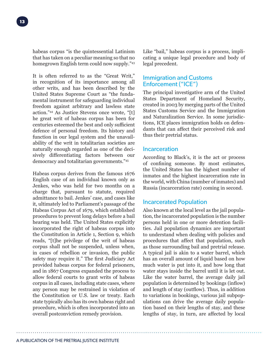habeas corpus "is the quintessential Latinism that has taken on a peculiar meaning so that no homegrown English term could now supply."43

It is often referred to as the "Great Writ," in recognition of its importance among all other writs, and has been described by the United States Supreme Court as "the fundamental instrument for safeguarding individual freedom against arbitrary and lawless state action."44 As Justice Stevens once wrote, "[t] he great writ of habeas corpus has been for centuries esteemed the best and only sufficient defence of personal freedom. Its history and function in our legal system and the unavailability of the writ in totalitarian societies are naturally enough regarded as one of the decisively differentiating factors between our democracy and totalitarian governments."45

Habeas corpus derives from the famous 1676 English case of an individual known only as Jenkes, who was held for two months on a charge that, pursuant to statute, required admittance to bail. Jenkes' case, and cases like it, ultimately led to Parliament's passage of the Habeas Corpus Act of 1679, which established procedures to prevent long delays before a bail hearing was held. The United States explicitly incorporated the right of habeas corpus into the Constitution in Article 1, Section 9, which reads, "[t]he privilege of the writ of habeas corpus shall not be suspended, unless when, in cases of rebellion or invasion, the public safety may require it." The first Judiciary Act provided habeas corpus for federal prisoners, and in 1867 Congress expanded the process to allow federal courts to grant writs of habeas corpus in all cases, including state cases, where any person may be restrained in violation of the Constitution or U.S. law or treaty. Each state typically also has its own habeas right and procedure, which is often incorporated into an overall postconviction remedy provision.

Like "bail," habeas corpus is a process, implicating a unique legal procedure and body of legal precedent.

# Immigration and Customs Enforcement ("ICE")

The principal investigative arm of the United States Department of Homeland Security, created in 2003 by merging parts of the United States Customs Service and the Immigration and Naturalization Service. In some jurisdictions, ICE places immigration holds on defendants that can affect their perceived risk and thus their pretrial status.

# **Incarceration**

According to Black's, it is the act or process of confining someone. By most estimates, the United States has the highest number of inmates and the highest incarceration rate in the world, with China (number of inmates) and Russia (incarceration rate) coming in second.

# Incarcerated Population

Also known at the local level as the jail population, the incarcerated population is the number persons held in one or more detention facilities. Jail population dynamics are important to understand when dealing with policies and procedures that affect that population, such as those surrounding bail and pretrial release. A typical jail is akin to a water barrel, which has an overall amount of liquid based on how much water is put into it, and how long that water stays inside the barrel until it is let out. Like the water barrel, the average daily jail population is determined by bookings (inflow) and length of stay (outflow). Thus, in addition to variations in bookings, various jail subpopulations can drive the average daily population based on their lengths of stay, and these lengths of stay, in turn, are affected by local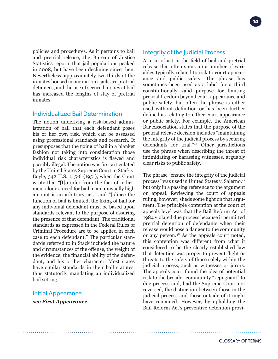policies and procedures. As it pertains to bail and pretrial release, the Bureau of Justice Statistics reports that jail populations peaked in 2008, but have been declining since then. Nevertheless, approximately two thirds of the inmates housed in our nation's jails are pretrial detainees, and the use of secured money at bail has increased the lengths of stay of pretrial inmates.

#### Individualized Bail Determination

The notion underlying a risk-based administration of bail that each defendant poses his or her own risk, which can be assessed using professional standards and research. It presupposes that the fixing of bail in a blanket fashion not taking into consideration those individual risk characteristics is flawed and possibly illegal. The notion was first articulated by the United States Supreme Court in Stack v. Boyle, 342 U.S. 1, 5-6 (1951), when the Court wrote that "[t]o infer from the fact of indictment alone a need for bail in an unusually high amount is an arbitrary act," and "[s]ince the function of bail is limited, the fixing of bail for any individual defendant must be based upon standards relevant to the purpose of assuring the presence of that defendant. The traditional standards as expressed in the Federal Rules of Criminal Procedure are to be applied in each case to each defendant." The particular standards referred to in Stack included the nature and circumstances of the offense, the weight of the evidence, the financial ability of the defendant, and his or her character. Most states have similar standards in their bail statutes, thus statutorily mandating an individualized bail setting.

#### Initial Appearance

*see First Appearance*

A term of art in the field of bail and pretrial release that often sums up a number of variables typically related to risk to court appearance and public safety. The phrase has sometimes been used as a label for a third constitutionally valid purpose for limiting pretrial freedom beyond court appearance and public safety, but often the phrase is either used without definition or has been further defined as relating to either court appearance or public safety. For example, the American Bar Association states that the purpose of the pretrial release decision includes "maintaining the integrity of the judicial process by securing defendants for trial."46 Other jurisdictions use the phrase when describing the threat of intimidating or harassing witnesses, arguably clear risks to public safety.

The phrase "ensure the integrity of the judicial process" was used in United States v. Salerno, 47 but only in a passing reference to the argument on appeal. Reviewing the court of appeals ruling, however, sheds some light on that argument. The principle contention at the court of appeals level was that the Bail Reform Act of 1984 violated due process because it permitted pretrial detention of defendants when their release would pose a danger to the community or any person.48 As the appeals court noted, this contention was different from what it considered to be the clearly established law that detention was proper to prevent flight or threats to the safety of those solely within the judicial process, such as witnesses or jurors. The appeals court found the idea of potential risk to the broader community "repugnant" to due process and, had the Supreme Court not reversed, the distinction between those in the judicial process and those outside of it might have remained. However, by upholding the Bail Reform Act's preventive detention provi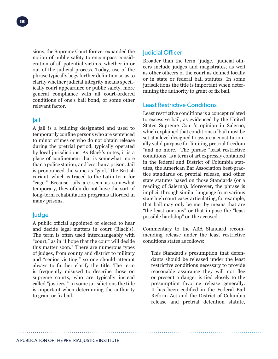sions, the Supreme Court forever expanded the notion of public safety to encompass consideration of all potential victims, whether in or out of the judicial process. Today, use of the phrase typically begs further definition so as to clarify whether judicial integrity means specifically court appearance or public safety, more general compliance with all court-ordered conditions of one's bail bond, or some other relevant factor.

## Jail

A jail is a building designated and used to temporarily confine persons who are sentenced to minor crimes or who do not obtain release during the pretrial period, typically operated by local jurisdictions. As Black's notes, it is a place of confinement that is somewhat more than a police station, and less than a prison. Jail is pronounced the same as "gaol," the British variant, which is traced to the Latin term for "cage." Because jails are seen as somewhat temporary, they often do not have the sort of long-term rehabilitation programs afforded in many prisons.

# Judge

A public official appointed or elected to hear and decide legal matters in court (Black's). The term is often used interchangeably with "court," as in "I hope that the court will decide this matter soon." There are numerous types of judges, from county and district to military and "senior visiting," so one should attempt always to further clarify the title. The term is frequently misused to describe those on supreme courts, who are typically instead called "justices." In some jurisdictions the title is important when determining the authority to grant or fix bail.

# Judicial Officer

Broader than the term "judge," judicial officers include judges and magistrates, as well as other officers of the court as defined locally or in state or federal bail statutes. In some jurisdictions the title is important when determining the authority to grant or fix bail.

# Least Restrictive Conditions

Least restrictive conditions is a concept related to excessive bail, as evidenced by the United States Supreme Court's opinion in Salerno, which explained that conditions of bail must be set at a level designed to assure a constitutionally valid purpose for limiting pretrial freedom "and no more." The phrase "least restrictive conditions" is a term of art expressly contained in the federal and District of Columbia statutes, the American Bar Association best-practice standards on pretrial release, and other state statutes based on those Standards (or a reading of Salerno). Moreover, the phrase is implicit through similar language from various state high court cases articulating, for example, that bail may only be met by means that are "the least onerous" or that impose the "least possible hardship" on the accused.

Commentary to the ABA Standard recommending release under the least restrictive conditions states as follows:

This Standard's presumption that defendants should be released under the least restrictive conditions necessary to provide reasonable assurance they will not flee or present a danger is tied closely to the presumption favoring release generally. It has been codified in the Federal Bail Reform Act and the District of Columbia release and pretrial detention statute,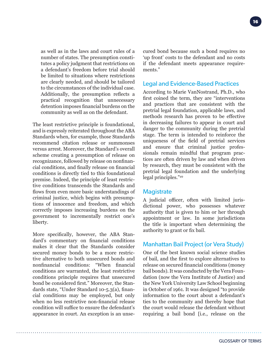**16**

as well as in the laws and court rules of a number of states. The presumption constitutes a policy judgment that restrictions on a defendant's freedom before trial should be limited to situations where restrictions are clearly needed, and should be tailored to the circumstances of the individual case. Additionally, the presumption reflects a practical recognition that unnecessary detention imposes financial burdens on the community as well as on the defendant.

The least restrictive principle is foundational, and is expressly reiterated throughout the ABA Standards when, for example, those Standards recommend citation release or summonses versus arrest. Moreover, the Standard's overall scheme creating a presumption of release on recognizance, followed by release on nonfinancial conditions, and finally release on financial conditions is directly tied to this foundational premise. Indeed, the principle of least restrictive conditions transcends the Standards and flows from even more basic understandings of criminal justice, which begins with presumptions of innocence and freedom, and which correctly imposes increasing burdens on the government to incrementally restrict one's liberty.

More specifically, however, the ABA Standard's commentary on financial conditions makes it clear that the Standards consider secured money bonds to be a more restrictive alternative to both unsecured bonds and nonfinancial conditions: "When financial conditions are warranted, the least restrictive conditions principle requires that unsecured bond be considered first." Moreover, the Standards state, "Under Standard 10-5.3(a), financial conditions may be employed, but only when no less restrictive non-financial release condition will suffice to ensure the defendant's appearance in court. An exception is an unsecured bond because such a bond requires no 'up front' costs to the defendant and no costs if the defendant meets appearance requirements."

## Legal and Evidence-Based Practices

According to Marie VanNostrand, Ph.D., who first coined the term, they are "interventions and practices that are consistent with the pretrial legal foundation, applicable laws, and methods research has proven to be effective in decreasing failures to appear in court and danger to the community during the pretrial stage. The term is intended to reinforce the uniqueness of the field of pretrial services and ensure that criminal justice professionals remain mindful that program practices are often driven by law and when driven by research, they must be consistent with the pretrial legal foundation and the underlying legal principles."49

## **Magistrate**

A judicial officer, often with limited jurisdictional power, who possesses whatever authority that is given to him or her through appointment or law. In some jurisdictions the title is important when determining the authority to grant or fix bail.

# Manhattan Bail Project (or Vera Study)

One of the best known social science studies of bail, and the first to explore alternatives to release on secured financial conditions (money bail bonds). It was conducted by the Vera Foundation (now the Vera Institute of Justice) and the New York University Law School beginning in October of 1961. It was designed "to provide information to the court about a defendant's ties to the community and thereby hope that the court would release the defendant without requiring a bail bond [i.e., release on the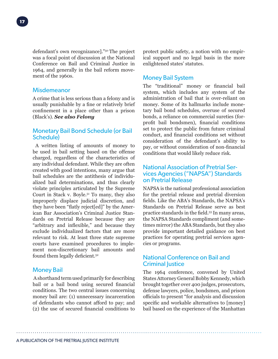defendant's own recognizance]."50 The project was a focal point of discussion at the National Conference on Bail and Criminal Justice in 1964, and generally in the bail reform movement of the 1960s.

#### Misdemeanor

A crime that is less serious than a felony and is usually punishable by a fine or relatively brief confinement in a place other than a prison (Black's). *See also Felony*

# Monetary Bail Bond Schedule (or Bail Schedule)

 A written listing of amounts of money to be used in bail setting based on the offense charged, regardless of the characteristics of any individual defendant. While they are often created with good intentions, many argue that bail schedules are the antithesis of individualized bail determinations, and thus clearly violate principles articulated by the Supreme Court in Stack v. Boyle.51 To many, they also improperly displace judicial discretion, and they have been "flatly reject[ed]" by the American Bar Association's Criminal Justice Standards on Pretrial Release because they are "arbitrary and inflexible," and because they exclude individualized factors that are more relevant to risk. At least three state supreme courts have examined procedures to implement non-discretionary bail amounts and found them legally deficient.<sup>52</sup>

# Money Bail

 A shorthand term used primarily for describing bail or a bail bond using secured financial conditions. The two central issues concerning money bail are: (1) unnecessary incarceration of defendants who cannot afford to pay; and (2) the use of secured financial conditions to protect public safety, a notion with no empirical support and no legal basis in the more enlightened states' statutes.

# Money Bail System

The "traditional" money or financial bail system, which includes any system of the administration of bail that is over-reliant on money. Some of its hallmarks include monetary bail bond schedules, overuse of secured bonds, a reliance on commercial sureties (forprofit bail bondsmen), financial conditions set to protect the public from future criminal conduct, and financial conditions set without consideration of the defendant's ability to pay, or without consideration of non-financial conditions that would likely reduce risk.

# National Association of Pretrial Services Agencies ("NAPSA") Standards on Pretrial Release

NAPSA is the national professional association for the pretrial release and pretrial diversion fields. Like the ABA's Standards, the NAPSA's Standards on Pretrial Release serve as best practice standards in the field.53 In many areas, the NAPSA Standards compliment (and sometimes mirror) the ABA Standards, but they also provide important detailed guidance on best practices for operating pretrial services agencies or programs.

# National Conference on Bail and Criminal Justice

The 1964 conference, convened by United States Attorney General Bobby Kennedy, which brought together over 400 judges, prosecutors, defense lawyers, police, bondsmen, and prison officials to present "for analysis and discussion specific and workable alternatives to [money] bail based on the experience of the Manhattan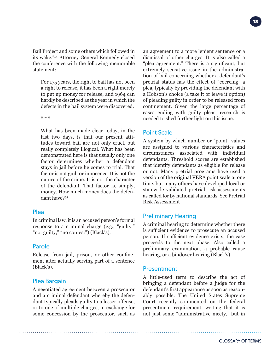Bail Project and some others which followed in its wake."54 Attorney General Kennedy closed the conference with the following memorable statement:

For 175 years, the right to bail has not been a right to release, it has been a right merely to put up money for release, and 1964 can hardly be described as the year in which the defects in the bail system were discovered.

\* \* \*

What has been made clear today, in the last two days, is that our present attitudes toward bail are not only cruel, but really completely illogical. What has been demonstrated here is that usually only one factor determines whether a defendant stays in jail before he comes to trial. That factor is not guilt or innocence. It is not the nature of the crime. It is not the character of the defendant. That factor is, simply, money. How much money does the defendant have?55

#### Plea

In criminal law, it is an accused person's formal response to a criminal charge (e.g., "guilty," "not guilty," "no contest") (Black's).

# Parole

Release from jail, prison, or other confinement after actually serving part of a sentence (Black's).

# Plea Bargain

A negotiated agreement between a prosecutor and a criminal defendant whereby the defendant typically pleads guilty to a lesser offense, or to one of multiple charges, in exchange for some concession by the prosecutor, such as an agreement to a more lenient sentence or a dismissal of other charges. It is also called a "plea agreement." There is a significant, but extremely sensitive issue in the administration of bail concerning whether a defendant's pretrial status has the effect of "coercing" a plea, typically by providing the defendant with a Hobson's choice (a take it or leave it option) of pleading guilty in order to be released from confinement. Given the large percentage of cases ending with guilty pleas, research is needed to shed further light on this issue.

# Point Scale

A system by which number or "point" values are assigned to various characteristics and circumstances associated with individual defendants. Threshold scores are established that identify defendants as eligible for release or not. Many pretrial programs have used a version of the original VERA point scale at one time, but many others have developed local or statewide validated pretrial risk assessments as called for by national standards. See Pretrial Risk Assessment

# Preliminary Hearing

A criminal hearing to determine whether there is sufficient evidence to prosecute an accused person. If sufficient evidence exists, the case proceeds to the next phase. Also called a preliminary examination, a probable cause hearing, or a bindover hearing (Black's).

# **Presentment**

A little-used term to describe the act of bringing a defendant before a judge for the defendant's first appearance as soon as reasonably possible. The United States Supreme Court recently commented on the federal presentment requirement, writing that it is not just some "administrative nicety," but in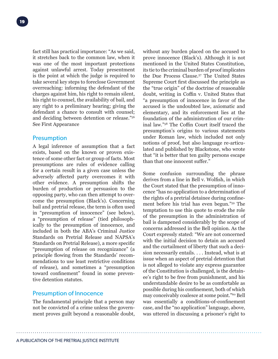fact still has practical importance: "As we said, it stretches back to the common law, when it was one of the most important protections against unlawful arrest. Today presentment is the point at which the judge is required to take several key steps to foreclose Government overreaching: informing the defendant of the charges against him, his right to remain silent, his right to counsel, the availability of bail, and any right to a preliminary hearing; giving the defendant a chance to consult with counsel; and deciding between detention or release."56 See First Appearance

## **Presumption**

A legal inference of assumption that a fact exists, based on the known or proven existence of some other fact or group of facts. Most presumptions are rules of evidence calling for a certain result in a given case unless the adversely affected party overcomes it with other evidence. A presumption shifts the burden of production or persuasion to the opposing party, who can then attempt to overcome the presumption (Black's). Concerning bail and pretrial release, the term is often used in "presumption of innocence" (see below), a "presumption of release" (tied philosophically to the presumption of innocence, and included in both the ABA's Criminal Justice Standards on Pretrial Release and NAPSA's Standards on Pretrial Release), a more specific "presumption of release on recognizance" (a principle flowing from the Standards' recommendations to use least restrictive conditions of release), and sometimes a "presumption toward confinement" found in some preventive detention statutes.

# Presumption of Innocence

The fundamental principle that a person may not be convicted of a crime unless the government proves guilt beyond a reasonable doubt, without any burden placed on the accused to prove innocence (Black's). Although it is not mentioned in the United States Constitution, its tie to the criminal burden of proof implicates the Due Process Clause.57 The United States Supreme Court first discussed the principle as the "true origin" of the doctrine of reasonable doubt, writing in Coffin v. United States that "a presumption of innocence in favor of the accused is the undoubted law, axiomatic and elementary, and its enforcement lies at the foundation of the administration of our criminal law."58 The Coffin Court itself traced the presumption's origins to various statements under Roman law, which included not only notions of proof, but also language re-articulated and published by Blackstone, who wrote that "it is better that ten guilty persons escape than that one innocent suffer."

Some confusion surrounding the phrase derives from a line in Bell v. Wolfish, in which the Court stated that the presumption of innocence "has no application to a determination of the rights of a pretrial detainee during confinement before his trial has even begun."59 The temptation to use this quote to erode the role of the presumption in the administration of bail is dampened considerably by the scope of concerns addressed in the Bell opinion. As the Court expressly stated: "We are not concerned with the initial decision to detain an accused and the curtailment of liberty that such a decision necessarily entails. . . . Instead, what is at issue when an aspect of pretrial detention that is not alleged to violate any express guarantee of the Constitution is challenged, is the detainee's right to be free from punishment, and his understandable desire to be as comfortable as possible during his confinement, both of which may conceivably coalesce at some point."60 Bell was essentially a conditions-of-confinement case, and the "no application" language, above, was uttered in discussing a prisoner's right to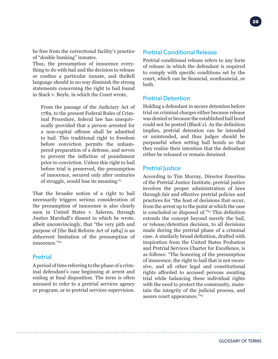be free from the correctional facility's practice of "double bunking" inmates.

Thus, the presumption of innocence everything to do with bail and the decision to release or confine a particular inmate, and theBell language should in no way diminish the strong statements concerning the right to bail found in Stack v. Boyle, in which the Court wrote,

From the passage of the Judiciary Act of 1789, to the present Federal Rules of Criminal Procedure, federal law has unequivocally provided that a person arrested for a non-capital offense shall be admitted to bail. This traditional right to freedom before conviction permits the unhampered preparation of a defense, and serves to prevent the infliction of punishment prior to conviction. Unless this right to bail before trial is preserved, the presumption of innocence, secured only after centuries of struggle, would lose its meaning.<sup>61</sup>

That the broader notion of a right to bail necessarily triggers serious consideration of the presumption of innocence is also clearly seen in United States v. Salerno, through Justice Marshall's dissent in which he wrote, albeit unconvincingly, that "the very pith and purpose of [the Bail Reform Act of 1984] is an abhorrent limitation of the presumption of innocence."62

## **Pretrial**

A period of time referring to the phase of a criminal defendant's case beginning at arrest and ending at final disposition. The term is often misused to refer to a pretrial services agency or program, or to pretrial services supervision.

# Pretrial Conditional Release

Pretrial conditional release refers to any form of release in which the defendant is required to comply with specific conditions set by the court, which can be financial, nonfinancial, or both.

**20**

# Pretrial Detention

Holding a defendant in secure detention before trial on criminal charges either because release was denied or because the established bail bond could not be posted (Black's). As the definition implies, pretrial detention can be intended or unintended, and thus judges should be purposeful when setting bail bonds so that they realize their intention that the defendant either be released or remain detained.

# **Pretrial Justice**

According to Tim Murray, Director Emeritus of the Pretrial Justice Institute, pretrial justice involves the proper administration of laws through fair and effective pretrial policies and practices for "the host of decisions that occur, from the arrest up to the point at which the case is concluded or disposed of."63 This definition extends the concept beyond merely the bail, or release/detention decision, to all decisions made during the pretrial phase of a criminal case. A similarly broad definition, drafted with inspiration from the United States Probation and Pretrial Services Charter for Excellence, is as follows: "The honoring of the presumption of innocence, the right to bail that is not excessive, and all other legal and constitutional rights afforded to accused persons awaiting trial while balancing these individual rights with the need to protect the community, maintain the integrity of the judicial process, and assure court appearance."64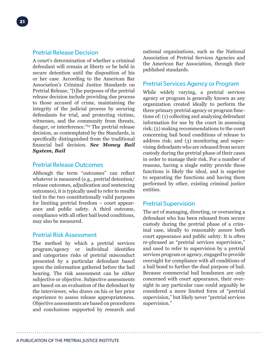A court's determination of whether a criminal defendant will remain at liberty or be held in secure detention until the disposition of his or her case. According to the American Bar Association's Criminal Justice Standards on Pretrial Release, "[t]he purposes of the pretrial release decision include providing due process to those accused of crime, maintaining the integrity of the judicial process by securing defendants for trial, and protecting victims, witnesses, and the community from threats, danger, or interference."65 The pretrial release decision, as contemplated by the Standards, is specifically distinguished from the traditional financial bail decision. *See Money Bail System, Bail*

# Pretrial Release Outcomes

Although the term "outcomes" can reflect whatever is measured (e.g., pretrial detention/ release outcomes, adjudication and sentencing outcomes), it is typically used to refer to results tied to the two constitutionally valid purposes for limiting pretrial freedom – court appearance and public safety. A third outcome, compliance with all other bail bond conditions, may also be measured.

# Pretrial Risk Assessment

The method by which a pretrial services program/agency or individual identifies and categorizes risks of pretrial misconduct presented by a particular defendant based upon the information gathered before the bail hearing. The risk assessment can be either subjective or objective. Subjective assessments are based on an evaluation of the defendant by the interviewer, who draws on his or her prior experience to assess release appropriateness. Objective assessments are based on procedures and conclusions supported by research and national organizations, such as the National Association of Pretrial Services Agencies and the American Bar Association, through their published standards.

# Pretrial Services Agency or Program

While widely varying, a pretrial services agency or program is generally known as any organization created ideally to perform the three primary pretrial agency or program functions of: (1) collecting and analyzing defendant information for use by the court in assessing risk; (2) making recommendations to the court concerning bail bond conditions of release to address risk; and (3) monitoring and supervising defendants who are released from secure custody during the pretrial phase of their cases in order to manage their risk. For a number of reasons, having a single entity provide these functions is likely the ideal, and is superior to separating the functions and having them performed by other, existing criminal justice entities.

# Pretrial Supervision

The act of managing, directing, or overseeing a defendant who has been released from secure custody during the pretrial phase of a criminal case, ideally to reasonably assure both court appearance and public safety. It is often re-phrased as "pretrial services supervision," and used to refer to supervision by a pretrial services program or agency, engaged to provide oversight for compliance with all conditions of a bail bond to further the dual purpose of bail. Because commercial bail bondsmen are only concerned with court appearance, their oversight in any particular case could arguably be considered a more limited form of "pretrial supervision," but likely never "pretrial services supervision."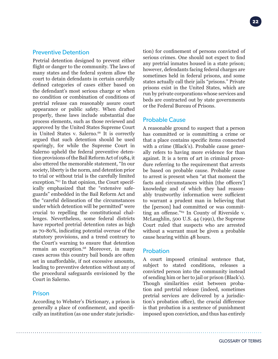#### Preventive Detention

Pretrial detention designed to prevent either flight or danger to the community. The laws of many states and the federal system allow the court to detain defendants in certain carefully defined categories of cases either based on the defendant's most serious charge or when no condition or combination of conditions of pretrial release can reasonably assure court appearance or public safety. When drafted properly, these laws include substantial due process elements, such as those reviewed and approved by the United States Supreme Court in United States v. Salerno.<sup>66</sup> It is correctly argued that such detention should be used sparingly, for while the Supreme Court in Salerno upheld the federal preventive detention provisions of the Bail Reform Act of 1984, it also uttered the memorable statement, "In our society, liberty is the norm, and detention prior to trial or without trial is the carefully limited exception."67 In that opinion, the Court specifically emphasized that the "extensive safeguards" embedded in the Bail Reform Act and the "careful delineation of the circumstances under which detention will be permitted" were crucial to repelling the constitutional challenges. Nevertheless, some federal districts have reported pretrial detention rates as high as 70-80%, indicating potential overuse of the statutory provisions, and a trend contrary to the Court's warning to ensure that detention remain an exception.<sup>68</sup> Moreover, in many cases across this country bail bonds are often set in unaffordable, if not excessive amounts, leading to preventive detention without any of the procedural safeguards envisioned by the Court in Salerno.

#### Prison

According to Webster's Dictionary, a prison is generally a place of confinement, and specifically an institution (as one under state jurisdiction) for confinement of persons convicted of serious crimes. One should not expect to find any pretrial inmates housed in a state prison; however, defendants facing federal charges are sometimes held in federal prisons, and some states actually call their jails "prisons." Private prisons exist in the United States, which are run by private corporations whose services and beds are contracted out by state governments or the Federal Bureau of Prisons.

#### Probable Cause

A reasonable ground to suspect that a person has committed or is committing a crime or that a place contains specific items connected with a crime (Black's). Probable cause generally refers to having more evidence for than against. It is a term of art in criminal procedure referring to the requirement that arrests be based on probable cause. Probable cause to arrest is present when "at that moment the facts and circumstances within [the officers'] knowledge and of which they had reasonably trustworthy information were sufficient to warrant a prudent man in believing that the [person] had committed or was committing an offense."<sup>69</sup> In County of Riverside v. McLaughlin, 500 U.S. 44 (1991), the Supreme Court ruled that suspects who are arrested without a warrant must be given a probable cause hearing within 48 hours.

#### Probation

A court imposed criminal sentence that, subject to stated conditions, releases a convicted person into the community instead of sending him or her to jail or prison (Black's). Though similarities exist between probation and pretrial release (indeed, sometimes pretrial services are delivered by a jurisdiction's probation office), the crucial difference is that probation is a sentence of punishment imposed upon conviction, and thus has entirely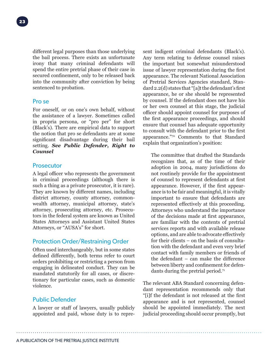different legal purposes than those underlying the bail process. There exists an unfortunate irony that many criminal defendants will spend the entire pretrial phase of their case in secured confinement, only to be released back into the community after conviction by being sentenced to probation.

#### Pro se

For oneself, or on one's own behalf, without the assistance of a lawyer. Sometimes called in propria persona, or "pro per" for short (Black's). There are empirical data to support the notion that pro se defendants are at some significant disadvantage during their bail setting. *See Public Defender, Right to Counsel*

#### **Prosecutor**

A legal officer who represents the government in criminal proceedings (although there is such a thing as a private prosecutor, it is rare). They are known by different names, including district attorney, county attorney, commonwealth attorney, municipal attorney, state's attorney, prosecuting attorney, etc. Prosecutors in the federal system are known as United States Attorneys and Assistant United States Attorneys, or "AUSA's" for short.

#### Protection Order/Restraining Order

Often used interchangeably, but in some states defined differently, both terms refer to court orders prohibiting or restricting a person from engaging in delineated conduct. They can be mandated statutorily for all cases, or discretionary for particular cases, such as domestic violence.

## Public Defender

A lawyer or staff of lawyers, usually publicly appointed and paid, whose duty is to represent indigent criminal defendants (Black's). Any term relating to defense counsel raises the important but somewhat misunderstood issue of lawyer representation during the first appearance. The relevant National Association of Pretrial Services Agencies standard, Standard 2.2(d) states that "[a]t the defendant's first appearance, he or she should be represented by counsel. If the defendant does not have his or her own counsel at this stage, the judicial officer should appoint counsel for purposes of the first appearance proceedings, and should ensure that counsel has adequate opportunity to consult with the defendant prior to the first appearance."70 Comments to that Standard explain that organization's position:

The committee that drafted the Standards recognizes that, as of the time of their adoption in 2004, many jurisdictions do not routinely provide for the appointment of counsel to represent defendants at first appearance. However, if the first appearance is to be fair and meaningful, it is vitally important to ensure that defendants are represented effectively at this proceeding. Attorneys who understand the importance of the decisions made at first appearance, are familiar with the contents of pretrial services reports and with available release options, and are able to advocate effectively for their clients – on the basis of consultation with the defendant and even very brief contact with family members or friends of the defendant – can make the difference between liberty and confinement for defendants during the pretrial period.<sup>71</sup>

The relevant ABA Standard concerning defendant representation recommends only that "[i]f the defendant is not released at the first appearance and is not represented, counsel should be appointed immediately. The next judicial proceeding should occur promptly, but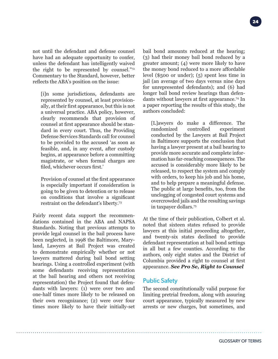not until the defendant and defense counsel have had an adequate opportunity to confer, unless the defendant has intelligently waived the right to be represented by counsel."72 Commentary to the Standard, however, better reflects the ABA's position on the issue:

[i]n some jurisdictions, defendants are represented by counsel, at least provisionally, at their first appearance, but this is not a universal practice. ABA policy, however, clearly recommends that provision of counsel at first appearance should be standard in every court. Thus, the Providing Defense Services Standards call for counsel to be provided to the accused 'as soon as feasible, and, in any event, after custody begins, at appearance before a committing magistrate, or when formal charges are filed, whichever occurs first.'

Provision of counsel at the first appearance is especially important if consideration is going to be given to detention or to release on conditions that involve a significant restraint on the defendant's liberty.73

Fairly recent data support the recommendations contained in the ABA and NAPSA Standards. Noting that previous attempts to provide legal counsel in the bail process have been neglected, in 1998 the Baltimore, Maryland, Lawyers at Bail Project was created to demonstrate empirically whether or not lawyers mattered during bail bond setting hearings. Using a controlled experiment (with some defendants receiving representation at the bail hearing and others not receiving representation) the Project found that defendants with lawyers: (1) were over two and one-half times more likely to be released on their own recognizance; (2) were over four times more likely to have their initially-set

bail bond amounts reduced at the hearing; (3) had their money bail bond reduced by a greater amount; (4) were more likely to have the money bond reduced to a more affordable level (\$500 or under); (5) spent less time in jail (an average of two days versus nine days for unrepresented defendants); and (6) had longer bail bond review hearings than defendants without lawyers at first appearance.<sup>74</sup> In a paper reporting the results of this study, the authors concluded:

[L]awyers do make a difference. The randomized controlled experiment conducted by the Lawyers at Bail Project in Baltimore supports the conclusion that having a lawyer present at a bail hearing to provide more accurate and complete information has far-reaching consequences. The accused is considerably more likely to be released, to respect the system and comply with orders, to keep his job and his home, and to help prepare a meaningful defense. The public at large benefits, too, from the unclogging of congested court systems and overcrowded jails and the resulting savings in taxpayer dollars.75

At the time of their publication, Colbert et al. noted that sixteen states refused to provide lawyers at this initial proceeding altogether, and twenty-six states declined to provide defendant representation at bail bond settings in all but a few counties. According to the authors, only eight states and the District of Columbia provided a right to counsel at first appearance. *See Pro Se, Right to Counsel*

# Public Safety

The second constitutionally valid purpose for limiting pretrial freedom, along with assuring court appearance, typically measured by new arrests or new charges, but sometimes, and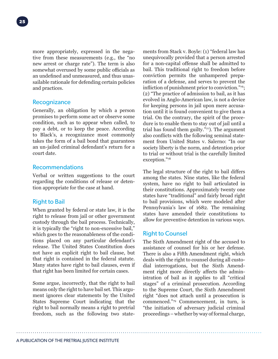more appropriately, expressed in the negative from these measurements (e.g., the "no new arrest or charge rate"). The term is also somewhat overused by some public officials as an undefined and unmeasured, and thus unassailable rationale for defending certain policies and practices.

#### **Recognizance**

Generally, an obligation by which a person promises to perform some act or observe some condition, such as to appear when called, to pay a debt, or to keep the peace. According to Black's, a recognizance most commonly takes the form of a bail bond that guarantees an un-jailed criminal defendant's return for a court date.

# Recommendations

Verbal or written suggestions to the court regarding the conditions of release or detention appropriate for the case at hand.

# Right to Bail

When granted by federal or state law, it is the right to release from jail or other government custody through the bail process. Technically, it is typically the "right to non-excessive bail," which goes to the reasonableness of the conditions placed on any particular defendant's release. The United States Constitution does not have an explicit right to bail clause, but that right is contained in the federal statute. Many states have right to bail clauses, even if that right has been limited for certain cases.

Some argue, incorrectly, that the right to bail means only the right to have bail set. This argument ignores clear statements by the United States Supreme Court indicating that the right to bail normally means a right to pretrial freedom, such as the following two statements from Stack v. Boyle: (1) "federal law has unequivocally provided that a person arrested for a non-capital offense shall be admitted to bail. This traditional right to freedom before conviction permits the unhampered preparation of a defense, and serves to prevent the infliction of punishment prior to conviction."76; (2) "The practice of admission to bail, as it has evolved in Anglo-American law, is not a device for keeping persons in jail upon mere accusation until it is found convenient to give them a trial. On the contrary, the spirit of the procedure is to enable them to stay out of jail until a trial has found them guilty."77). The argument also conflicts with the following seminal statement from United States v. Salerno: "In our society liberty is the norm, and detention prior to trial or without trial is the carefully limited exception."78

The legal structure of the right to bail differs among the states. Nine states, like the federal system, have no right to bail articulated in their constitutions. Approximately twenty one states have "traditional" and fairly broad right to bail provisions, which were modeled after Pennsylvania's law of 1682. The remaining states have amended their constitutions to allow for preventive detention in various ways.

# Right to Counsel

The Sixth Amendment right of the accused to assistance of counsel for his or her defense. There is also a Fifth Amendment right, which deals with the right to counsel during all custodial interrogations, but the Sixth Amendment right more directly affects the administration of bail as it applies to all "critical stages" of a criminal prosecution. According to the Supreme Court, the Sixth Amendment right "does not attach until a prosecution is commenced."79 Commencement, in turn, is "the initiation of adversary judicial criminal proceedings – whether by way of formal charge,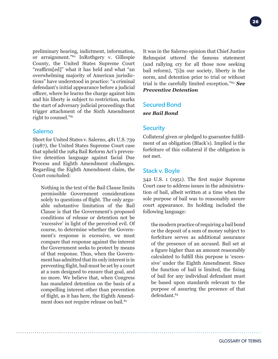preliminary hearing, indictment, information, or arraignment."80 InRothgery v. Gillespie County, the United States Supreme Court "reaffirm[ed]" what it has held and what "an overwhelming majority of American jurisdictions" have understood in practice: "a criminal defendant's initial appearance before a judicial officer, where he learns the charge against him and his liberty is subject to restriction, marks the start of adversary judicial proceedings that trigger attachment of the Sixth Amendment right to counsel."81

# Salerno

Short for United States v. Salerno, 481 U.S. 739 (1987), the United States Supreme Court case that upheld the 1984 Bail Reform Act's preventive detention language against facial Due Process and Eighth Amendment challenges. Regarding the Eighth Amendment claim, the Court concluded:

Nothing in the text of the Bail Clause limits permissible Government considerations solely to questions of flight. The only arguable substantive limitation of the Bail Clause is that the Government's proposed conditions of release or detention not be 'excessive' in light of the perceived evil. Of course, to determine whether the Government's response is excessive, we must compare that response against the interest the Government seeks to protect by means of that response. Thus, when the Government has admitted that its only interest is in preventing flight, bail must be set by a court at a sum designed to ensure that goal, and no more. We believe that, when Congress has mandated detention on the basis of a compelling interest other than prevention of flight, as it has here, the Eighth Amendment does not require release on bail.<sup>82</sup>

It was in the Salerno opinion that Chief Justice Rehnquist uttered the famous statement (and rallying cry for all those now seeking bail reform), "[i]n our society, liberty is the norm, and detention prior to trial or without trial is the carefully limited exception."83 *See Preventive Detention*

#### Secured Bond

*see Bail Bond*

# **Security**

Collateral given or pledged to guarantee fulfillment of an obligation (Black's). Implied is the forfeiture of this collateral if the obligation is not met.

# Stack v. Boyle

342 U.S. 1 (1951). The first major Supreme Court case to address issues in the administration of bail, albeit written at a time when the sole purpose of bail was to reasonably assure court appearance. Its holding included the following language:

the modern practice of requiring a bail bond or the deposit of a sum of money subject to forfeiture serves as additional assurance of the presence of an accused. Bail set at a figure higher than an amount reasonably calculated to fulfill this purpose is 'excessive' under the Eighth Amendment. Since the function of bail is limited, the fixing of bail for any individual defendant must be based upon standards relevant to the purpose of assuring the presence of that defendant.84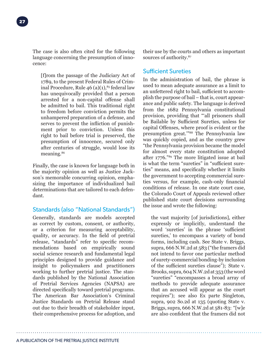The case is also often cited for the following language concerning the presumption of innocence:

[f]rom the passage of the Judiciary Act of 1789, to the present Federal Rules of Criminal Procedure, Rule  $46$  (a)(1), $85$  federal law has unequivocally provided that a person arrested for a non-capital offense shall be admitted to bail. This traditional right to freedom before conviction permits the unhampered preparation of a defense, and serves to prevent the infliction of punishment prior to conviction. Unless this right to bail before trial is preserved, the presumption of innocence, secured only after centuries of struggle, would lose its meaning.86

Finally, the case is known for language both in the majority opinion as well as Justice Jackson's memorable concurring opinion, emphasizing the importance of individualized bail determinations that are tailored to each defendant.

# Standards (also "National Standards")

Generally, standards are models accepted as correct by custom, consent, or authority, or a criterion for measuring acceptability, quality, or accuracy. In the field of pretrial release, "standards" refer to specific recommendations based on empirically sound social science research and fundamental legal principles designed to provide guidance and insight to policymakers and practitioners working to further pretrial justice. The standards published by the National Association of Pretrial Services Agencies (NAPSA) are directed specifically toward pretrial programs. The American Bar Association's Criminal Justice Standards on Pretrial Release stand out due to their breadth of stakeholder input, their comprehensive process for adoption, and

their use by the courts and others as important sources of authority.<sup>87</sup>

# Sufficient Sureties

In the administration of bail, the phrase is used to mean adequate assurance as a limit to an unfettered right to bail, sufficient to accomplish the purpose of bail – that is, court appearance and public safety. The language is derived from the 1682 Pennsylvania constitutional provision, providing that "'all prisoners shall be Bailable by Sufficient Sureties, unless for capital Offenses, where proof is evident or the presumption great.'"88 The Pennsylvania law was quickly copied, and as the country grew "the Pennsylvania provision became the model for almost every state constitution adopted after 1776."89 The more litigated issue at bail is what the term "sureties" in "sufficient sureties" means, and specifically whether it limits the government to accepting commercial sureties versus, for example, cash-only financial conditions of release. In one state court case, the Colorado Court of Appeals reviewed other published state court decisions surrounding the issue and wrote the following:

the vast majority [of jurisdictions], either expressly or implicitly, understand the word 'sureties' in the phrase 'sufficient sureties,' to encompass a variety of bond forms, including cash. See State v. Briggs, supra, 666 N.W.2d at 583 ("the framers did not intend to favor one particular method of surety-commercial bonding-by inclusion of the sufficient sureties clause"); State v. Brooks, supra, 604 N.W.2d at 353 (the word "sureties" "encompasses a broad array of methods to provide adequate assurance that an accused will appear as the court requires"); see also Ex parte Singleton, supra, 902 So.2d at 135 (quoting State v. Briggs, supra, 666 N.W.2d at 581-83: "[w]e are also confident that the framers did not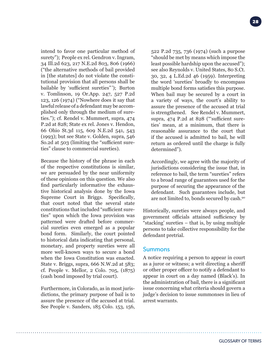intend to favor one particular method of surety"); People ex rel. Gendron v. Ingram, 34 Ill.2d 623, 217 N.E.2d 803, 806 (1966) ("the alternative methods of bail provided in [the statutes] do not violate the constitutional provision that all persons shall be bailable by 'sufficient sureties" '); Burton v. Tomlinson, 19 Or.App. 247, 527 P.2d 123, 126 (1974) ("Nowhere does it say that lawful release of a defendant may be accomplished only through the medium of sureties."); cf. Rendel v. Mummert, supra, 474 P.2d at 828; State ex rel. Jones v. Hendon, 66 Ohio St.3d 115, 609 N.E.2d 541, 543 (1993); but see State v. Golden, supra, 546 So.2d at 503 (limiting the "sufficient sureties" clause to commercial sureties).

Because the history of the phrase in each of the respective constitutions is similar, we are persuaded by the near uniformity of these opinions on this question. We also find particularly informative the exhaustive historical analysis done by the Iowa Supreme Court in Briggs. Specifically, that court noted that the several state constitutions that included "sufficient sureties" upon which the Iowa provision was patterned were drafted before commercial sureties even emerged as a popular bond form. Similarly, the court pointed to historical data indicating that personal, monetary, and property sureties were all more well-known ways to secure a bond when the Iowa Constitution was enacted. State v. Briggs, supra, 666 N.W.2d at 583; cf. People v. Mellor, 2 Colo. 705, (1875) (cash bond imposed by trial court).

Furthermore, in Colorado, as in most jurisdictions, the primary purpose of bail is to assure the presence of the accused at trial. See People v. Sanders, 185 Colo. 153, 156, 522 P.2d 735, 736 (1974) (such a purpose "should be met by means which impose the least possible hardship upon the accused"); see also Reynolds v. United States, 80 S.Ct. 30, 32, 4 L.Ed.2d 46 (1959). Interpreting the word 'sureties' broadly to encompass multiple bond forms satisfies this purpose. When bail may be secured by a court in a variety of ways, the court's ability to assure the presence of the accused at trial is strengthened. See Rendel v. Mummert, supra, 474 P.2d at 828 ("'sufficient sureties' mean, at a minimum, that there is reasonable assurance to the court that if the accused is admitted to bail, he will return as ordered until the charge is fully determined").

Accordingly, we agree with the majority of jurisdictions considering the issue that, in reference to bail, the term "sureties" refers to a broad range of guarantees used for the purpose of securing the appearance of the defendant. Such guarantees include, but are not limited to, bonds secured by cash.90

Historically, sureties were always people, and government officials attained sufficiency by "stacking' sureties – that is, by using multiple persons to take collective responsibility for the defendant pretrial.

#### Summons

A notice requiring a person to appear in court as a juror or witness; a writ directing a sheriff or other proper officer to notify a defendant to appear in court on a day named (Black's). In the administration of bail, there is a significant issue concerning what criteria should govern a judge's decision to issue summonses in lieu of arrest warrants.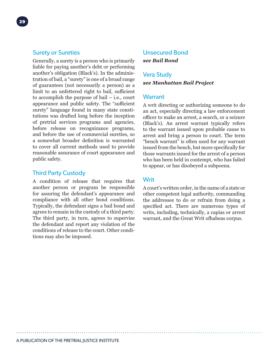# Surety or Sureties

Generally, a surety is a person who is primarily liable for paying another's debt or performing another's obligation (Black's). In the administration of bail, a "surety" is one of a broad range of guarantees (not necessarily a person) as a limit to an unfettered right to bail, sufficient to accomplish the purpose of bail – i.e., court appearance and public safety. The "sufficient surety" language found in many state constitutions was drafted long before the inception of pretrial services programs and agencies, before release on recognizance programs, and before the use of commercial sureties, so a somewhat broader definition is warranted to cover all current methods used to provide reasonable assurance of court appearance and public safety.

# Third Party Custody

A condition of release that requires that another person or program be responsible for assuring the defendant's appearance and compliance with all other bond conditions. Typically, the defendant signs a bail bond and agrees to remain in the custody of a third party. The third party, in turn, agrees to supervise the defendant and report any violation of the conditions of release to the court. Other conditions may also be imposed.

# Unsecured Bond *see Bail Bond*

# Vera Study *see Manhattan Bail Project*

#### **Warrant**

A writ directing or authorizing someone to do an act, especially directing a law enforcement officer to make an arrest, a search, or a seizure (Black's). An arrest warrant typically refers to the warrant issued upon probable cause to arrest and bring a person to court. The term "bench warrant" is often used for any warrant issued from the bench, but more specifically for those warrants issued for the arrest of a person who has been held in contempt, who has failed to appear, or has disobeyed a subpoena.

# **Writ**

A court's written order, in the name of a state or other competent legal authority, commanding the addressee to do or refrain from doing a specified act. There are numerous types of writs, including, technically, a capias or arrest warrant, and the Great Writ ofhabeas corpus.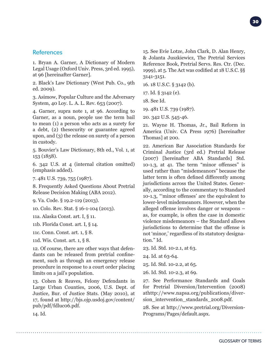# **References**

1. Bryan A. Garner, A Dictionary of Modern Legal Usage (Oxford Univ. Press, 3rd ed. 1995), at 96 [hereinafter Garner].

2. Black's Law Dictionary (West Pub. Co., 9th ed. 2009).

3. Asimow, Popular Culture and the Adversary System, 40 Loy. L. A. L. Rev. 653 (2007).

4. Garner, supra note 1, at 96. According to Garner, as a noun, people use the term bail to mean (1) a person who acts as a surety for a debt, (2) thesecurity or guarantee agreed upon, and (3) the release on surety of a person in custody.

5. Bouvier's Law Dictionary, 8th ed., Vol. 1, at 153 (1858).

6. 342 U.S. at 4 (internal citation omitted) (emphasis added).

7. 481 U.S. 739, 755 (1987).

8. Frequently Asked Questions About Pretrial Release Decision Making (ABA 2012).

9. Va. Code. § 19.2-119 (2013).

10. Colo. Rev. Stat. § 16-1-104 (2013).

11a. Alaska Const. art. I, § 11.

11b. Florida Const. art. I, § 14.

11c. Conn. Const. art. 1, § 8.

11d. Wis. Const. art. 1, § 8.

12. Of course, there are other ways that defendants can be released from pretrial confinement, such as through an emergency release procedure in response to a court order placing limits on a jail's population.

13. Cohen & Reaves, Felony Defendants in Large Urban Counties, 2006, U.S. Dept. of Justice, Bur. of Justice Stats. (May 2010), at 17, found at http://bjs.ojp.usdoj.gov/content/ pub/pdf/fdluc06.pdf.

15. See Evie Lotze, John Clark, D. Alan Henry, & Jolanta Juszkiewicz, The Pretrial Services Reference Book, Pretrial Servs. Res. Ctr. (Dec. 1999), at 5. The Act was codified at 18 U.S.C. §§ 3141-3151.

16. 18 U.S.C. § 3142 (b).

17. Id. § 3142 (e).

18. See Id.

19. 481 U.S. 739 (1987).

20. 342 U.S. 545-46.

21. Wayne H. Thomas, Jr., Bail Reform in America (Univ. CA Press 1976) [hereinafter Thomas] at 200.

22. American Bar Association Standards for Criminal Justice (3rd ed.) Pretrial Release (2007) [hereinafter ABA Standards] Std. 10-1.3, at 41. The term "minor offenses" is used rather than "misdemeanors" because the latter term is often defined differently among jurisdictions across the United States. Generally, according to the commentary to Standard 10-1.3, "'minor offenses' are the equivalent to lower-level misdemeanors. However, when the alleged offense involves danger or weapons – as, for example, is often the case in domestic violence misdemeanors – the Standard allows jurisdictions to determine that the offense is not 'minor,' regardless of its statutory designation." Id.

23. Id. Std. 10-2.1, at 63.

24. Id. at 63-64.

25. Id. Std. 10-2.2, at 65.

26. Id. Std. 10-2.3, at 69.

27. See Performance Standards and Goals for Pretrial Diversion/Intervention (2008) athttp://www.napsa.org/publications/diversion\_intervention\_standards\_2008.pdf.

28. See at http://www.pretrial.org/Diversion-Programs/Pages/default.aspx.

14. Id.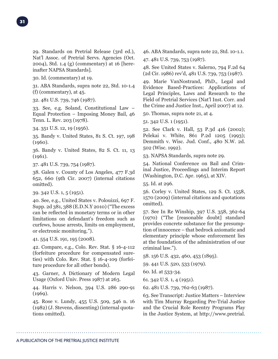29. Standards on Pretrial Release (3rd ed.), Nat'l Assoc. of Pretrial Servs. Agencies (Oct. 2004), Std. 1.4 (g) (commentary) at 16 [hereinafter NAPSA Standards].

30. Id. (commentary) at 19.

31. ABA Standards, supra note 22, Std. 10-1.4 (f) (commentary), at 45.

32. 481 U.S. 739, 746 (1987).

33. See, e.g. Soland, Constitutional Law – Equal Protection – Imposing Money Bail, 46 Tenn. L. Rev. 203 (1978).

34. 351 U.S. 12, 19 (1956).

35. Bandy v. United States, 81 S. Ct. 197, 198 (1960).

36. Bandy v. United States, 82 S. Ct. 11, 13 (1961).

37. 481 U.S. 739, 754 (1987).

38. Galen v. County of Los Angeles, 477 F.3d 652, 660 (9th Cir. 2007) (internal citations omitted).

39. 342 U.S. 1, 5 (1951).

40. See, e.g., United States v. Polouizzi, 697 F. Supp. 2d 381, 388 (E.D.N.Y 2010) ("The excess can be reflected in monetary terms or in other limitations on defendant's freedom such as curfews, house arrests, limits on employment, or electronic monitoring.").

41. 554 U.S. 191, 195 (2008).

42. Compare, e.g., Colo. Rev. Stat. § 16-4-112 (forfeiture procedure for compensated sureties) with Colo. Rev. Stat. § 16-4-109 (forfeiture procedure for all other bonds).

43. Garner, A Dictionary of Modern Legal Usage (Oxford Univ. Press 1987) at 263.

44. Harris v. Nelson, 394 U.S. 286 290-91 (1969).

45. Rose v. Lundy, 455 U.S. 509, 546 n. 16 (1982) (J. Stevens, dissenting) (internal quotations omitted).

46. ABA Standards, supra note 22, Std. 10-1.1.

47. 481 U.S. 739, 753 (1987).

48. See United States v. Salerno, 794 F.2d 64 (2d Cir. 1986) rev'd, 481 U.S. 739, 753 (1987).

49. Marie VanNostrand, PhD., Legal and Evidence Based-Practices: Applications of Legal Principles, Laws and Research to the Field of Pretrial Services (Nat'l Inst. Corr. and the Crime and Justice Inst., April 2007) at 12.

50. Thomas, supra note 21, at 4.

51. 342 U.S. 1 (1951).

52. See Clark v. Hall, 53 P.3d 416 (2002); Pelekai v. White, 861 P.2d 1205 (1993); Demmith v. Wisc. Jud. Conf., 480 N.W. 2d. 502 (Wisc. 1992).

53. NAPSA Standards, supra note 29.

54. National Conference on Bail and Criminal Justice, Proceedings and Interim Report (Washington, D.C. Apr. 1965), at XIV.

55. Id. at 296.

56. Corley v. United States, 129 S. Ct. 1558, 1570 (2009) (internal citations and quotations omitted).

57. See In Re Winship, 397 U.S. 358, 362-64 (1970) ("The [reasonable doubt] standard provides concrete substance for the presumption of innocence – that bedrock axiomatic and elementary principle whose enforcement lies at the foundation of the administration of our criminal law.").

58. 156 U.S. 432, 460, 453 (1895).

59. 441 U.S. 520, 533 (1979).

60. Id. at 533-34.

61. 342 U.S. 1, 4 (1951).

62. 481 U.S. 739, 762-63 (1987).

63. See Transcript: Justice Matters – Interview with Tim Murray Regarding Pre-Trial Justice and the Crucial Role Reentry Programs Play in the Justice System, at http://www.pretrial.